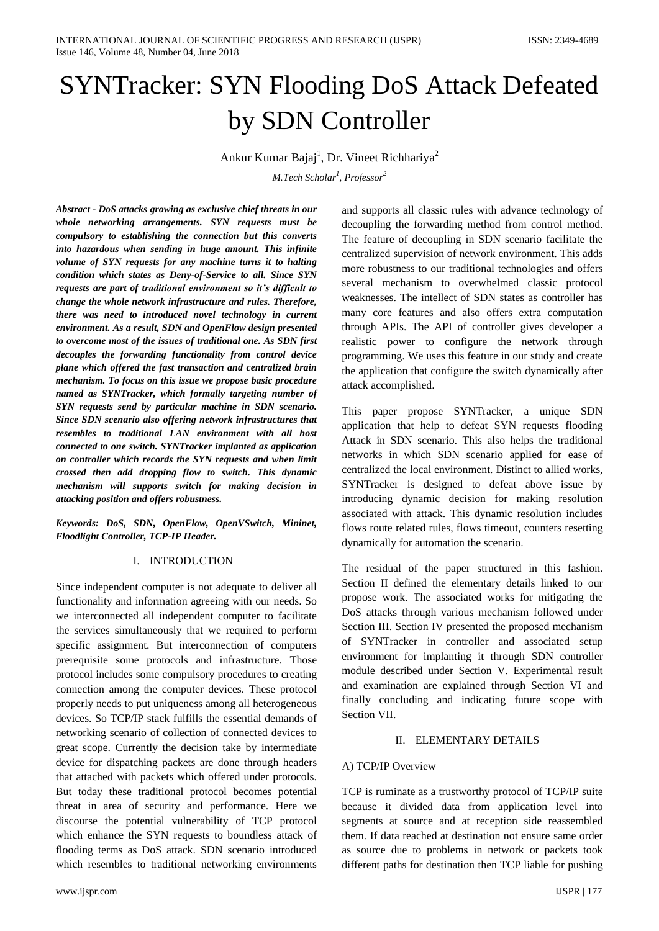# SYNTracker: SYN Flooding DoS Attack Defeated by SDN Controller

Ankur Kumar Bajaj<sup>1</sup>, Dr. Vineet Richhariya<sup>2</sup>

*M.Tech Scholar<sup>1</sup> , Professor<sup>2</sup>*

*Abstract - DoS attacks growing as exclusive chief threats in our whole networking arrangements. SYN requests must be compulsory to establishing the connection but this converts into hazardous when sending in huge amount. This infinite volume of SYN requests for any machine turns it to halting condition which states as Deny-of-Service to all. Since SYN requests are part of traditional environment so it's difficult to change the whole network infrastructure and rules. Therefore, there was need to introduced novel technology in current environment. As a result, SDN and OpenFlow design presented to overcome most of the issues of traditional one. As SDN first decouples the forwarding functionality from control device plane which offered the fast transaction and centralized brain mechanism. To focus on this issue we propose basic procedure named as SYNTracker, which formally targeting number of SYN requests send by particular machine in SDN scenario. Since SDN scenario also offering network infrastructures that resembles to traditional LAN environment with all host connected to one switch. SYNTracker implanted as application on controller which records the SYN requests and when limit crossed then add dropping flow to switch. This dynamic mechanism will supports switch for making decision in attacking position and offers robustness.*

*Keywords: DoS, SDN, OpenFlow, OpenVSwitch, Mininet, Floodlight Controller, TCP-IP Header.*

# I. INTRODUCTION

Since independent computer is not adequate to deliver all functionality and information agreeing with our needs. So we interconnected all independent computer to facilitate the services simultaneously that we required to perform specific assignment. But interconnection of computers prerequisite some protocols and infrastructure. Those protocol includes some compulsory procedures to creating connection among the computer devices. These protocol properly needs to put uniqueness among all heterogeneous devices. So TCP/IP stack fulfills the essential demands of networking scenario of collection of connected devices to great scope. Currently the decision take by intermediate device for dispatching packets are done through headers that attached with packets which offered under protocols. But today these traditional protocol becomes potential threat in area of security and performance. Here we discourse the potential vulnerability of TCP protocol which enhance the SYN requests to boundless attack of flooding terms as DoS attack. SDN scenario introduced which resembles to traditional networking environments The feature of decoupling in SDN scenario facilitate the centralized supervision of network environment. This adds more robustness to our traditional technologies and offers several mechanism to overwhelmed classic protocol weaknesses. The intellect of SDN states as controller has many core features and also offers extra computation through APIs. The API of controller gives developer a realistic power to configure the network through programming. We uses this feature in our study and create the application that configure the switch dynamically after attack accomplished. This paper propose SYNTracker, a unique SDN

and supports all classic rules with advance technology of decoupling the forwarding method from control method.

application that help to defeat SYN requests flooding Attack in SDN scenario. This also helps the traditional networks in which SDN scenario applied for ease of centralized the local environment. Distinct to allied works, SYNTracker is designed to defeat above issue by introducing dynamic decision for making resolution associated with attack. This dynamic resolution includes flows route related rules, flows timeout, counters resetting dynamically for automation the scenario.

The residual of the paper structured in this fashion. Section II defined the elementary details linked to our propose work. The associated works for mitigating the DoS attacks through various mechanism followed under Section III. Section IV presented the proposed mechanism of SYNTracker in controller and associated setup environment for implanting it through SDN controller module described under Section V. Experimental result and examination are explained through Section VI and finally concluding and indicating future scope with Section VII.

#### II. ELEMENTARY DETAILS

#### A) TCP/IP Overview

TCP is ruminate as a trustworthy protocol of TCP/IP suite because it divided data from application level into segments at source and at reception side reassembled them. If data reached at destination not ensure same order as source due to problems in network or packets took different paths for destination then TCP liable for pushing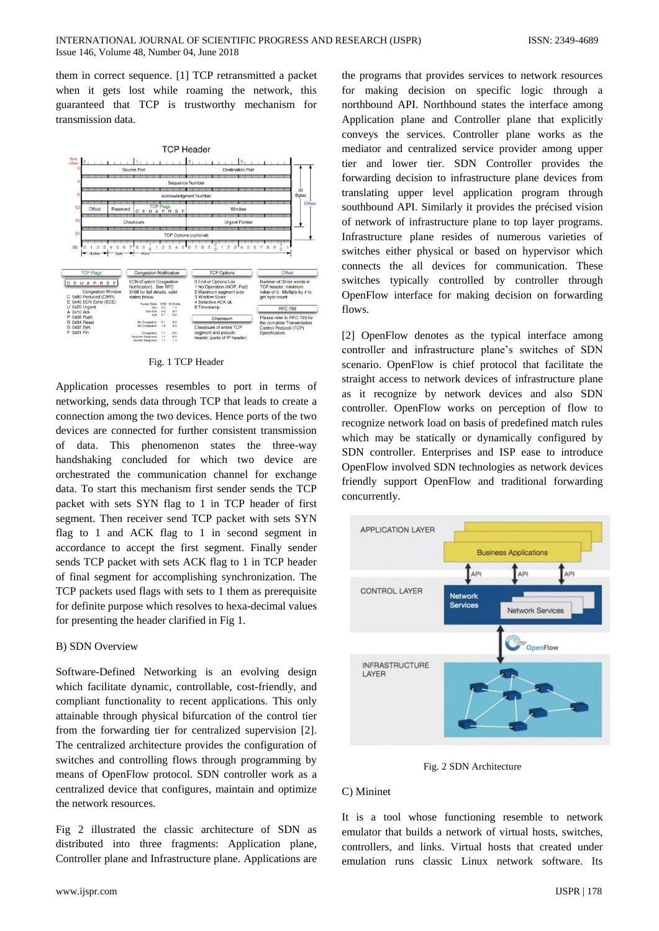them in correct sequence. [1] TCP retransmitted a packet when it gets lost while roaming the network, this guaranteed that TCP is trustworthy mechanism for transmission data.



Fig. 1 TCP Header

Application processes resembles to port in terms of networking, sends data through TCP that leads to create a connection among the two devices. Hence ports of the two devices are connected for further consistent transmission of data. This phenomenon states the three-way handshaking concluded for which two device are orchestrated the communication channel for exchange data. To start this mechanism first sender sends the TCP packet with sets SYN flag to 1 in TCP header of first segment. Then receiver send TCP packet with sets SYN flag to 1 and ACK flag to 1 in second segment in accordance to accept the first segment. Finally sender sends TCP packet with sets ACK flag to 1 in TCP header of final segment for accomplishing synchronization. The TCP packets used flags with sets to 1 them as prerequisite for definite purpose which resolves to hexa-decimal values for presenting the header clarified in Fig 1.

# B) SDN Overview

Software-Defined Networking is an evolving design which facilitate dynamic, controllable, cost-friendly, and compliant functionality to recent applications. This only attainable through physical bifurcation of the control tier from the forwarding tier for centralized supervision [2]. The centralized architecture provides the configuration of switches and controlling flows through programming by means of OpenFlow protocol. SDN controller work as a centralized device that configures, maintain and optimize the network resources.

Fig 2 illustrated the classic architecture of SDN as distributed into three fragments: Application plane, Controller plane and Infrastructure plane. Applications are the programs that provides services to network resources for making decision on specific logic through a northbound API. Northbound states the interface among Application plane and Controller plane that explicitly conveys the services. Controller plane works as the mediator and centralized service provider among upper tier and lower tier. SDN Controller provides the forwarding decision to infrastructure plane devices from translating upper level application program through southbound API. Similarly it provides the précised vision of network of infrastructure plane to top layer programs. Infrastructure plane resides of numerous varieties of switches either physical or based on hypervisor which connects the all devices for communication. These switches typically controlled by controller through OpenFlow interface for making decision on forwarding flows.

[2] OpenFlow denotes as the typical interface among controller and infrastructure plane's switches of SDN scenario. OpenFlow is chief protocol that facilitate the straight access to network devices of infrastructure plane as it recognize by network devices and also SDN controller. OpenFlow works on perception of flow to recognize network load on basis of predefined match rules which may be statically or dynamically configured by SDN controller. Enterprises and ISP ease to introduce OpenFlow involved SDN technologies as network devices friendly support OpenFlow and traditional forwarding concurrently.



Fig. 2 SDN Architecture

#### C) Mininet

It is a tool whose functioning resemble to network emulator that builds a network of virtual hosts, switches, controllers, and links. Virtual hosts that created under emulation runs classic Linux network software. Its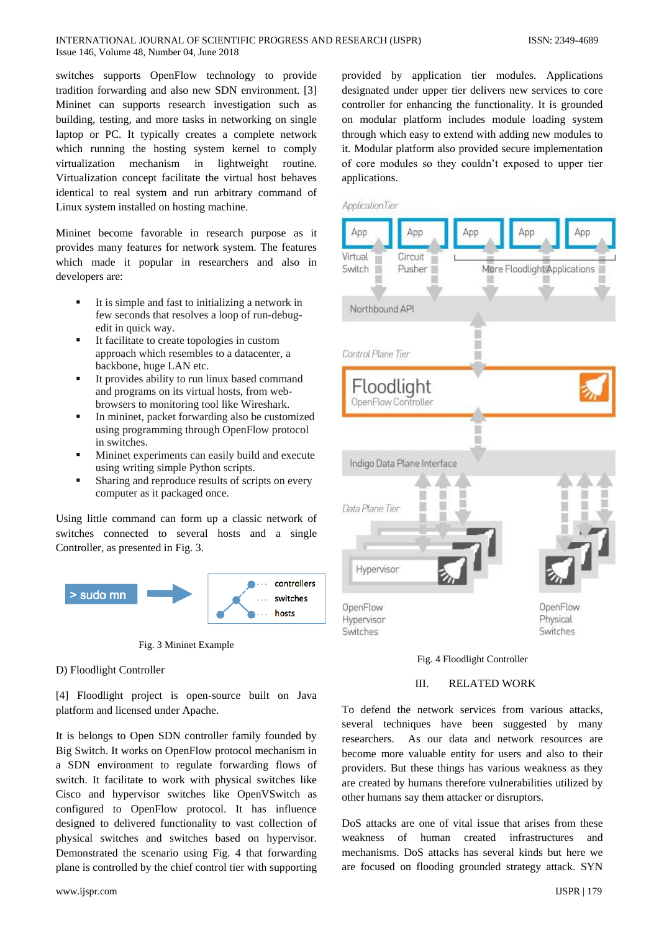#### INTERNATIONAL JOURNAL OF SCIENTIFIC PROGRESS AND RESEARCH (IJSPR) ISSN: 2349-4689 Issue 146, Volume 48, Number 04, June 2018

switches supports OpenFlow technology to provide tradition forwarding and also new SDN environment. [3] Mininet can supports research investigation such as building, testing, and more tasks in networking on single laptop or PC. It typically creates a complete network which running the hosting system kernel to comply virtualization mechanism in lightweight routine. Virtualization concept facilitate the virtual host behaves identical to real system and run arbitrary command of Linux system installed on hosting machine.

Mininet become favorable in research purpose as it provides many features for network system. The features which made it popular in researchers and also in developers are:

- It is simple and fast to initializing a network in few seconds that resolves a loop of run-debugedit in quick way.
- It facilitate to create topologies in custom approach which resembles to a datacenter, a backbone, huge LAN etc.
- It provides ability to run linux based command and programs on its virtual hosts, from webbrowsers to monitoring tool like Wireshark.
- In mininet, packet forwarding also be customized using programming through OpenFlow protocol in switches.
- Mininet experiments can easily build and execute using writing simple Python scripts.
- Sharing and reproduce results of scripts on every computer as it packaged once.

Using little command can form up a classic network of switches connected to several hosts and a single Controller, as presented in Fig. 3.



Fig. 3 Mininet Example

#### D) Floodlight Controller

[4] Floodlight project is open-source built on Java platform and licensed under Apache.

It is belongs to Open SDN controller family founded by Big Switch. It works on OpenFlow protocol mechanism in a SDN environment to regulate forwarding flows of switch. It facilitate to work with physical switches like Cisco and hypervisor switches like OpenVSwitch as configured to OpenFlow protocol. It has influence designed to delivered functionality to vast collection of physical switches and switches based on hypervisor. Demonstrated the scenario using Fig. 4 that forwarding plane is controlled by the chief control tier with supporting provided by application tier modules. Applications designated under upper tier delivers new services to core controller for enhancing the functionality. It is grounded on modular platform includes module loading system through which easy to extend with adding new modules to it. Modular platform also provided secure implementation of core modules so they couldn't exposed to upper tier applications.





## III. RELATED WORK

To defend the network services from various attacks, several techniques have been suggested by many researchers. As our data and network resources are become more valuable entity for users and also to their providers. But these things has various weakness as they are created by humans therefore vulnerabilities utilized by other humans say them attacker or disruptors.

DoS attacks are one of vital issue that arises from these weakness of human created infrastructures and mechanisms. DoS attacks has several kinds but here we are focused on flooding grounded strategy attack. SYN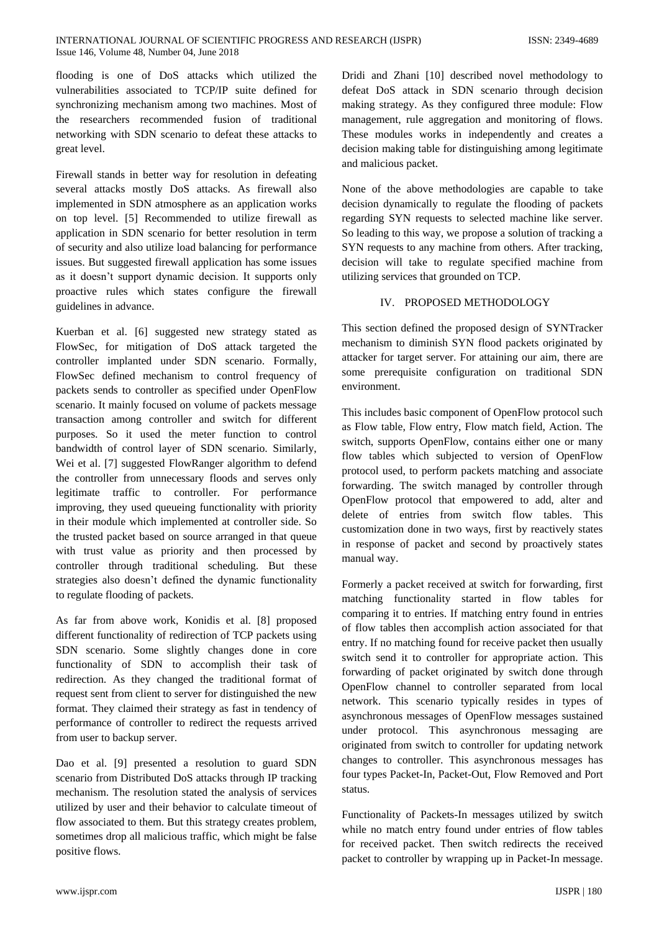flooding is one of DoS attacks which utilized the vulnerabilities associated to TCP/IP suite defined for synchronizing mechanism among two machines. Most of the researchers recommended fusion of traditional networking with SDN scenario to defeat these attacks to great level.

Firewall stands in better way for resolution in defeating several attacks mostly DoS attacks. As firewall also implemented in SDN atmosphere as an application works on top level. [5] Recommended to utilize firewall as application in SDN scenario for better resolution in term of security and also utilize load balancing for performance issues. But suggested firewall application has some issues as it doesn't support dynamic decision. It supports only proactive rules which states configure the firewall guidelines in advance.

Kuerban et al. [6] suggested new strategy stated as FlowSec, for mitigation of DoS attack targeted the controller implanted under SDN scenario. Formally, FlowSec defined mechanism to control frequency of packets sends to controller as specified under OpenFlow scenario. It mainly focused on volume of packets message transaction among controller and switch for different purposes. So it used the meter function to control bandwidth of control layer of SDN scenario. Similarly, Wei et al. [7] suggested FlowRanger algorithm to defend the controller from unnecessary floods and serves only legitimate traffic to controller. For performance improving, they used queueing functionality with priority in their module which implemented at controller side. So the trusted packet based on source arranged in that queue with trust value as priority and then processed by controller through traditional scheduling. But these strategies also doesn't defined the dynamic functionality to regulate flooding of packets.

As far from above work, Konidis et al. [8] proposed different functionality of redirection of TCP packets using SDN scenario. Some slightly changes done in core functionality of SDN to accomplish their task of redirection. As they changed the traditional format of request sent from client to server for distinguished the new format. They claimed their strategy as fast in tendency of performance of controller to redirect the requests arrived from user to backup server.

Dao et al. [9] presented a resolution to guard SDN scenario from Distributed DoS attacks through IP tracking mechanism. The resolution stated the analysis of services utilized by user and their behavior to calculate timeout of flow associated to them. But this strategy creates problem, sometimes drop all malicious traffic, which might be false positive flows.

Dridi and Zhani [10] described novel methodology to defeat DoS attack in SDN scenario through decision making strategy. As they configured three module: Flow management, rule aggregation and monitoring of flows. These modules works in independently and creates a decision making table for distinguishing among legitimate and malicious packet.

None of the above methodologies are capable to take decision dynamically to regulate the flooding of packets regarding SYN requests to selected machine like server. So leading to this way, we propose a solution of tracking a SYN requests to any machine from others. After tracking, decision will take to regulate specified machine from utilizing services that grounded on TCP.

# IV. PROPOSED METHODOLOGY

This section defined the proposed design of SYNTracker mechanism to diminish SYN flood packets originated by attacker for target server. For attaining our aim, there are some prerequisite configuration on traditional SDN environment.

This includes basic component of OpenFlow protocol such as Flow table, Flow entry, Flow match field, Action. The switch, supports OpenFlow, contains either one or many flow tables which subjected to version of OpenFlow protocol used, to perform packets matching and associate forwarding. The switch managed by controller through OpenFlow protocol that empowered to add, alter and delete of entries from switch flow tables. This customization done in two ways, first by reactively states in response of packet and second by proactively states manual way.

Formerly a packet received at switch for forwarding, first matching functionality started in flow tables for comparing it to entries. If matching entry found in entries of flow tables then accomplish action associated for that entry. If no matching found for receive packet then usually switch send it to controller for appropriate action. This forwarding of packet originated by switch done through OpenFlow channel to controller separated from local network. This scenario typically resides in types of asynchronous messages of OpenFlow messages sustained under protocol. This asynchronous messaging are originated from switch to controller for updating network changes to controller. This asynchronous messages has four types Packet-In, Packet-Out, Flow Removed and Port status.

Functionality of Packets-In messages utilized by switch while no match entry found under entries of flow tables for received packet. Then switch redirects the received packet to controller by wrapping up in Packet-In message.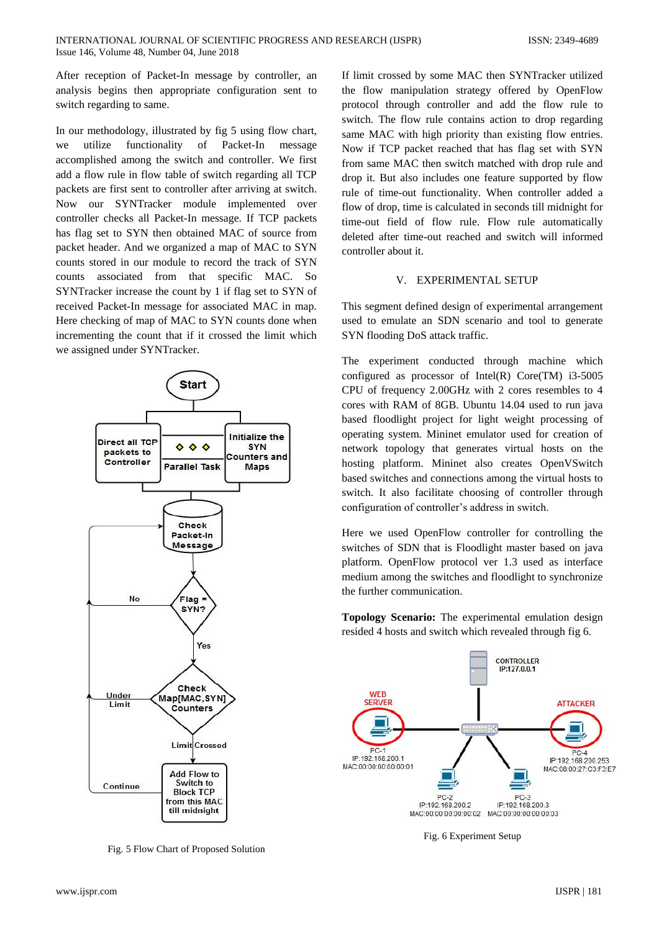After reception of Packet-In message by controller, an analysis begins then appropriate configuration sent to switch regarding to same.

In our methodology, illustrated by fig 5 using flow chart, we utilize functionality of Packet-In message accomplished among the switch and controller. We first add a flow rule in flow table of switch regarding all TCP packets are first sent to controller after arriving at switch. Now our SYNTracker module implemented over controller checks all Packet-In message. If TCP packets has flag set to SYN then obtained MAC of source from packet header. And we organized a map of MAC to SYN counts stored in our module to record the track of SYN counts associated from that specific MAC. So SYNTracker increase the count by 1 if flag set to SYN of received Packet-In message for associated MAC in map. Here checking of map of MAC to SYN counts done when incrementing the count that if it crossed the limit which we assigned under SYNTracker.



Fig. 5 Flow Chart of Proposed Solution

If limit crossed by some MAC then SYNTracker utilized the flow manipulation strategy offered by OpenFlow protocol through controller and add the flow rule to switch. The flow rule contains action to drop regarding same MAC with high priority than existing flow entries. Now if TCP packet reached that has flag set with SYN from same MAC then switch matched with drop rule and drop it. But also includes one feature supported by flow rule of time-out functionality. When controller added a flow of drop, time is calculated in seconds till midnight for time-out field of flow rule. Flow rule automatically deleted after time-out reached and switch will informed controller about it.

#### V. EXPERIMENTAL SETUP

This segment defined design of experimental arrangement used to emulate an SDN scenario and tool to generate SYN flooding DoS attack traffic.

The experiment conducted through machine which configured as processor of Intel(R) Core(TM) i3-5005 CPU of frequency 2.00GHz with 2 cores resembles to 4 cores with RAM of 8GB. Ubuntu 14.04 used to run java based floodlight project for light weight processing of operating system. Mininet emulator used for creation of network topology that generates virtual hosts on the hosting platform. Mininet also creates OpenVSwitch based switches and connections among the virtual hosts to switch. It also facilitate choosing of controller through configuration of controller's address in switch.

Here we used OpenFlow controller for controlling the switches of SDN that is Floodlight master based on java platform. OpenFlow protocol ver 1.3 used as interface medium among the switches and floodlight to synchronize the further communication.

**Topology Scenario:** The experimental emulation design resided 4 hosts and switch which revealed through fig 6.



Fig. 6 Experiment Setup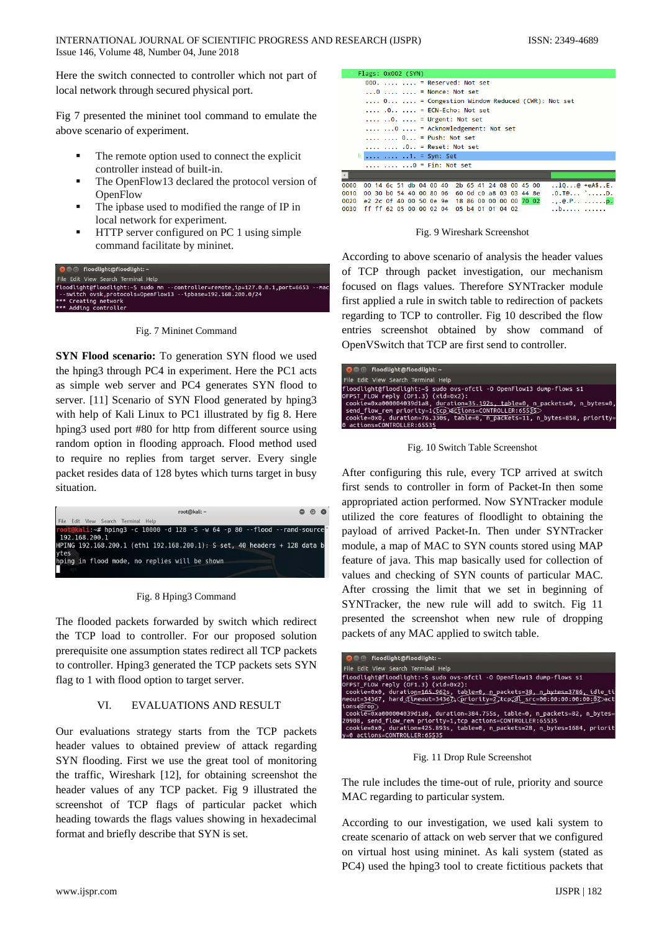Here the switch connected to controller which not part of local network through secured physical port.

Fig 7 presented the mininet tool command to emulate the above scenario of experiment.

- The remote option used to connect the explicit controller instead of built-in.
- The OpenFlow13 declared the protocol version of **OpenFlow**
- The ipbase used to modified the range of IP in local network for experiment.
- HTTP server configured on PC 1 using simple command facilitate by mininet.





**SYN Flood scenario:** To generation SYN flood we used the hping3 through PC4 in experiment. Here the PC1 acts as simple web server and PC4 generates SYN flood to server. [11] Scenario of SYN Flood generated by hping3 with help of Kali Linux to PC1 illustrated by fig 8. Here hping3 used port #80 for http from different source using random option in flooding approach. Flood method used to require no replies from target server. Every single packet resides data of 128 bytes which turns target in busy situation.



Fig. 8 Hping3 Command

The flooded packets forwarded by switch which redirect the TCP load to controller. For our proposed solution prerequisite one assumption states redirect all TCP packets to controller. Hping3 generated the TCP packets sets SYN flag to 1 with flood option to target server.

# VI. EVALUATIONS AND RESULT

Our evaluations strategy starts from the TCP packets header values to obtained preview of attack regarding SYN flooding. First we use the great tool of monitoring the traffic, Wireshark [12], for obtaining screenshot the header values of any TCP packet. Fig 9 illustrated the screenshot of TCP flags of particular packet which heading towards the flags values showing in hexadecimal format and briefly describe that SYN is set.

| <b>LINES, AVALL (SIN)</b>                                                |
|--------------------------------------------------------------------------|
| 000. $\ldots$ $\ldots$ = Reserved: Not set                               |
| $\ldots$ 0 $\ldots$ $\ldots$ = Nonce: Not set                            |
| $\ldots$ 0 $\ldots$ = Congestion Window Reduced (CWR): Not set           |
| $\ldots$ .0 $\ldots$ = ECN-Echo: Not set                                 |
| $\ldots$ $\ldots$ $\ldots$ = Urgent: Not set                             |
| $\ldots$ 0  = Acknowledgement: Not set                                   |
| $\ldots$ , $\ldots$ , $0 \ldots$ = Push: Not set                         |
| $\ldots$ , $\ldots$ , $0$ . = Reset: Not set                             |
| $\triangleright$ 1. = Syn: Set                                           |
| $    0 = Fin: Not set$                                                   |
|                                                                          |
| $100$ +eA\$E.<br>00 14 6c 51 db 04 00 40 2b 65 41 24 08 00 45 00<br>0000 |
| $.0.70$ D.<br>00 30 b0 54 40 00 80 06 60 0d c0 a8 03 03 44 8e<br>0010    |
| e2 2c 0f 40 00 50 0e 9e 18 86 00 00 00 00 70 02<br>0020<br>$e.P$         |
| ff ff 62 05 00 00 02 04<br>05 b4 01 01 04 02<br>0030<br>. . b            |

Fig. 9 Wireshark Screenshot

According to above scenario of analysis the header values of TCP through packet investigation, our mechanism focused on flags values. Therefore SYNTracker module first applied a rule in switch table to redirection of packets regarding to TCP to controller. Fig 10 described the flow entries screenshot obtained by show command of OpenVSwitch that TCP are first send to controller.

| <b>Communication</b> floodlight: ~                                                                                                                                                                                                                                                                                                                               |
|------------------------------------------------------------------------------------------------------------------------------------------------------------------------------------------------------------------------------------------------------------------------------------------------------------------------------------------------------------------|
| File Edit View Search Terminal Help                                                                                                                                                                                                                                                                                                                              |
| floodlight@floodlight:~\$ sudo ovs-ofctl -0 OpenFlow13 dump-flows s1<br>OFPST FLOW reply (OF1.3) (xid=0x2):<br>cookie=0xa000004039d1a8, duration=35.192s, table=0, n packets=0, n bytes=0,<br>send flow rem priority=1(tcp)actions=CONTROLLER:65535<br>cookie=0x0, duration=76.330s, table=0, n packets=11, n bytes=858, priority=<br>0 actions=CONTROLLER:65535 |

Fig. 10 Switch Table Screenshot

After configuring this rule, every TCP arrived at switch first sends to controller in form of Packet-In then some appropriated action performed. Now SYNTracker module utilized the core features of floodlight to obtaining the payload of arrived Packet-In. Then under SYNTracker module, a map of MAC to SYN counts stored using MAP feature of java. This map basically used for collection of values and checking of SYN counts of particular MAC. After crossing the limit that we set in beginning of SYNTracker, the new rule will add to switch. Fig 11 presented the screenshot when new rule of dropping packets of any MAC applied to switch table.

| <b>Communicates</b> floodlighting floodlight: ~                                                                                                                                                                                                                                                                                                                                                                                                      |
|------------------------------------------------------------------------------------------------------------------------------------------------------------------------------------------------------------------------------------------------------------------------------------------------------------------------------------------------------------------------------------------------------------------------------------------------------|
| File Edit View Search Terminal Help                                                                                                                                                                                                                                                                                                                                                                                                                  |
| floodlight@floodlight:~S sudo ovs-ofctl -O OpenFlow13 dump-flows s1<br>OFPST FLOW reply (OF1.3) (xid=0x2):<br>cookie=0x0, duration=165.962s, table=0, n packets=38, n bytes=3786, idle ti<br>meout=34367, hard (timeout=34367) (priority=2,tcp.dl_src=00:00:00:00:00:02)act<br>tons <del>f</del> drop<br>cookie=0xa000004039d1a8, duration=384.755s, table=0, n packets=82, n bytes=<br>20908, send flow rem priority=1,tcp actions=CONTROLLER:65535 |
| cookie=0x0, duration=425.893s, table=0, n packets=28, n bytes=1684, priorit<br>v=0 actions=CONTROLLER:65535                                                                                                                                                                                                                                                                                                                                          |

Fig. 11 Drop Rule Screenshot

The rule includes the time-out of rule, priority and source MAC regarding to particular system.

According to our investigation, we used kali system to create scenario of attack on web server that we configured on virtual host using mininet. As kali system (stated as PC4) used the hping3 tool to create fictitious packets that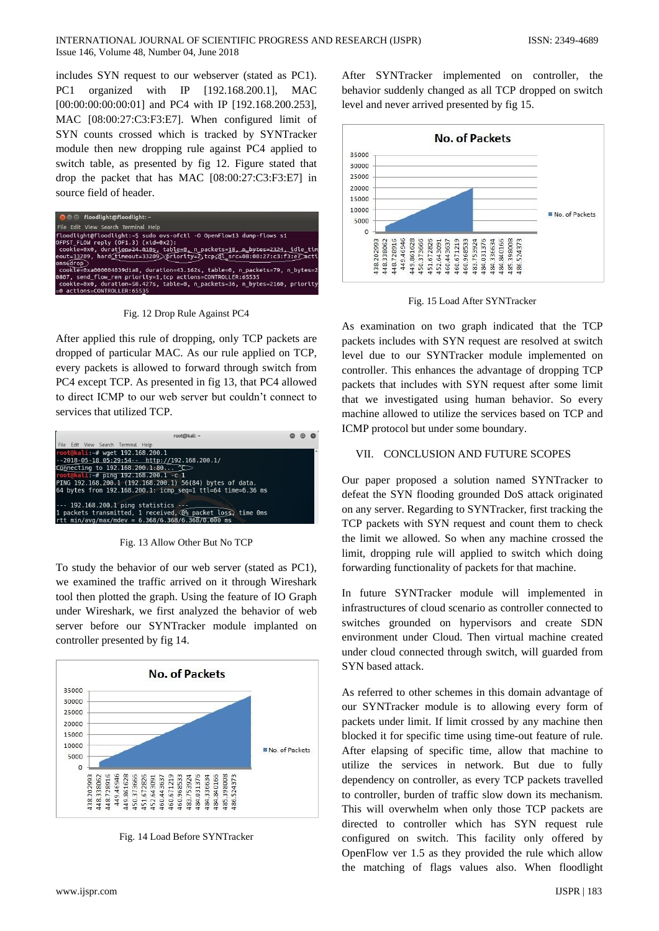includes SYN request to our webserver (stated as PC1). PC1 organized with IP [192.168.200.1], MAC [00:00:00:00:00:01] and PC4 with IP [192.168.200.253], MAC [08:00:27:C3:F3:E7]. When configured limit of SYN counts crossed which is tracked by SYNTracker module then new dropping rule against PC4 applied to switch table, as presented by fig 12. Figure stated that drop the packet that has MAC [08:00:27:C3:F3:E7] in source field of header.

| <b>Communication</b> floodlighting floodlight: ~                                                                                                                          |
|---------------------------------------------------------------------------------------------------------------------------------------------------------------------------|
| File Edit View Search Terminal Help                                                                                                                                       |
| floodlight@floodlight:~S sudo ovs-ofctl -O OpenFlow13 dump-flows s1<br>OFPST FLOW reply (OF1.3) (xid=0x2):                                                                |
| cookie=0x0, duration=24,010s, table=0, n packets=18, n bytes=2324, idle tim<br>eout=33209, hard timeout=33209) priority=2 tcpsdl src=08:00:27:c3:f3:e7 acti<br>onsefrop   |
| cookie=0xa000004039d1a8, duration=43.162s, table=0, n packets=79, n bytes=2                                                                                               |
| 0807, send flow rem priority=1,tcp actions=CONTROLLER:65535<br>cookie=0x0, duration=58.427s, table=0, n packets=36, n bytes=2160, priority<br>=0 actions=CONTROLLER:65535 |

Fig. 12 Drop Rule Against PC4

After applied this rule of dropping, only TCP packets are dropped of particular MAC. As our rule applied on TCP, every packets is allowed to forward through switch from PC4 except TCP. As presented in fig 13, that PC4 allowed to direct ICMP to our web server but couldn't connect to services that utilized TCP.

| root@kali: ~                                                                                                                                                                                                                                                                                        |  |  |
|-----------------------------------------------------------------------------------------------------------------------------------------------------------------------------------------------------------------------------------------------------------------------------------------------------|--|--|
| File Edit View Search Terminal Help                                                                                                                                                                                                                                                                 |  |  |
| root@kali:~# wget 192.168.200.1<br>$-2018 - 05 - 18$ $05:29:54--$ http://192.168.200.1/<br>Connecting to 192.168.200.1:80 $\sim$<br>root@kali:-# ping 192.168.200.1 -c 1<br>PING 192.168.200.1 (192.168.200.1) 56(84) bytes of data.<br>64 bytes from 192.168.200.1: icmp seq=1 ttl=64 time=6.36 ms |  |  |
| $--$ 192.168.200.1 ping statistics $--$<br>1 packets transmitted, 1 received, $\circledcirc$ packet loss, time Oms<br>rtt min/avg/max/mdev = $6.368/6.368/6.368/0.000$ ms                                                                                                                           |  |  |

Fig. 13 Allow Other But No TCP

To study the behavior of our web server (stated as PC1), we examined the traffic arrived on it through Wireshark tool then plotted the graph. Using the feature of IO Graph under Wireshark, we first analyzed the behavior of web server before our SYNTracker module implanted on controller presented by fig 14.



Fig. 14 Load Before SYNTracker

After SYNTracker implemented on controller, the behavior suddenly changed as all TCP dropped on switch level and never arrived presented by fig 15.



Fig. 15 Load After SYNTracker

As examination on two graph indicated that the TCP packets includes with SYN request are resolved at switch level due to our SYNTracker module implemented on controller. This enhances the advantage of dropping TCP packets that includes with SYN request after some limit that we investigated using human behavior. So every machine allowed to utilize the services based on TCP and ICMP protocol but under some boundary.

# VII. CONCLUSION AND FUTURE SCOPES

Our paper proposed a solution named SYNTracker to defeat the SYN flooding grounded DoS attack originated on any server. Regarding to SYNTracker, first tracking the TCP packets with SYN request and count them to check the limit we allowed. So when any machine crossed the limit, dropping rule will applied to switch which doing forwarding functionality of packets for that machine.

In future SYNTracker module will implemented in infrastructures of cloud scenario as controller connected to switches grounded on hypervisors and create SDN environment under Cloud. Then virtual machine created under cloud connected through switch, will guarded from SYN based attack.

As referred to other schemes in this domain advantage of our SYNTracker module is to allowing every form of packets under limit. If limit crossed by any machine then blocked it for specific time using time-out feature of rule. After elapsing of specific time, allow that machine to utilize the services in network. But due to fully dependency on controller, as every TCP packets travelled to controller, burden of traffic slow down its mechanism. This will overwhelm when only those TCP packets are directed to controller which has SYN request rule configured on switch. This facility only offered by OpenFlow ver 1.5 as they provided the rule which allow the matching of flags values also. When floodlight